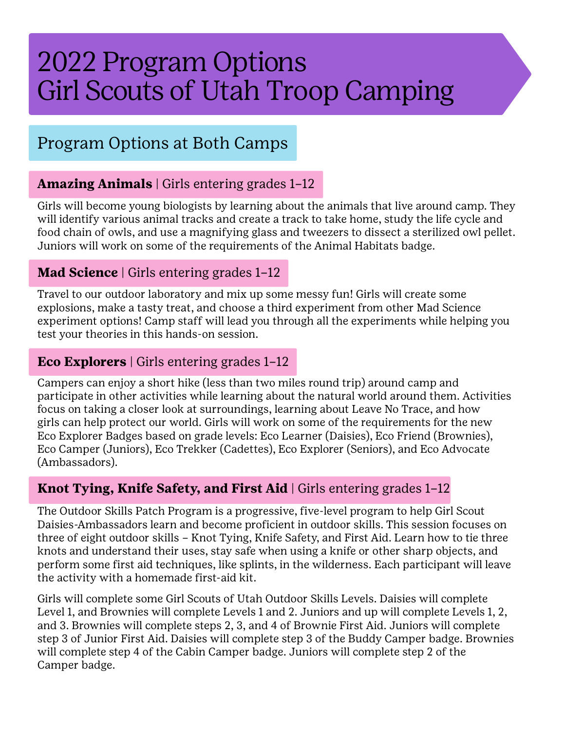# 2022 Program Options Girl Scouts of Utah Troop Camping

## Program Options at Both Camps

#### **Amazing Animals** | Girls entering grades 1–12

Girls will become young biologists by learning about the animals that live around camp. They will identify various animal tracks and create a track to take home, study the life cycle and food chain of owls, and use a magnifying glass and tweezers to dissect a sterilized owl pellet. Juniors will work on some of the requirements of the Animal Habitats badge.

#### **Mad Science** | Girls entering grades 1–12

Travel to our outdoor laboratory and mix up some messy fun! Girls will create some explosions, make a tasty treat, and choose a third experiment from other Mad Science experiment options! Camp staff will lead you through all the experiments while helping you test your theories in this hands-on session.

#### **Eco Explorers** | Girls entering grades 1–12

Campers can enjoy a short hike (less than two miles round trip) around camp and participate in other activities while learning about the natural world around them. Activities focus on taking a closer look at surroundings, learning about Leave No Trace, and how girls can help protect our world. Girls will work on some of the requirements for the new Eco Explorer Badges based on grade levels: Eco Learner (Daisies), Eco Friend (Brownies), Eco Camper (Juniors), Eco Trekker (Cadettes), Eco Explorer (Seniors), and Eco Advocate (Ambassadors).

#### **Knot Tying, Knife Safety, and First Aid** | Girls entering grades 1–12

The Outdoor Skills Patch Program is a progressive, five-level program to help Girl Scout Daisies-Ambassadors learn and become proficient in outdoor skills. This session focuses on three of eight outdoor skills – Knot Tying, Knife Safety, and First Aid. Learn how to tie three knots and understand their uses, stay safe when using a knife or other sharp objects, and perform some first aid techniques, like splints, in the wilderness. Each participant will leave the activity with a homemade first-aid kit.

Girls will complete some Girl Scouts of Utah Outdoor Skills Levels. Daisies will complete Level 1, and Brownies will complete Levels 1 and 2. Juniors and up will complete Levels 1, 2, and 3. Brownies will complete steps 2, 3, and 4 of Brownie First Aid. Juniors will complete step 3 of Junior First Aid. Daisies will complete step 3 of the Buddy Camper badge. Brownies will complete step 4 of the Cabin Camper badge. Juniors will complete step 2 of the Camper badge.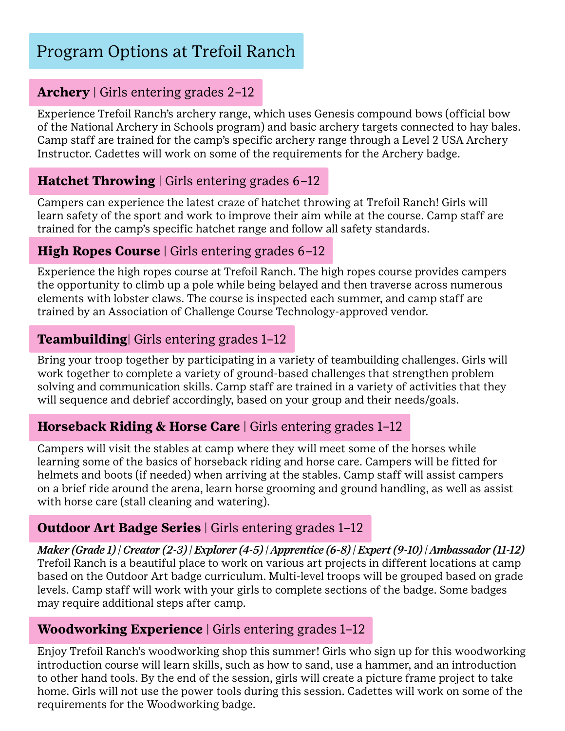## Program Options at Trefoil Ranch

#### **Archery** | Girls entering grades 2–12

Experience Trefoil Ranch's archery range, which uses Genesis compound bows (official bow of the National Archery in Schools program) and basic archery targets connected to hay bales. Camp staff are trained for the camp's specific archery range through a Level 2 USA Archery Instructor. Cadettes will work on some of the requirements for the Archery badge.

#### **Hatchet Throwing** | Girls entering grades 6–12

Campers can experience the latest craze of hatchet throwing at Trefoil Ranch! Girls will learn safety of the sport and work to improve their aim while at the course. Camp staff are trained for the camp's specific hatchet range and follow all safety standards.

#### **High Ropes Course** | Girls entering grades 6-12

Experience the high ropes course at Trefoil Ranch. The high ropes course provides campers the opportunity to climb up a pole while being belayed and then traverse across numerous elements with lobster claws. The course is inspected each summer, and camp staff are trained by an Association of Challenge Course Technology-approved vendor.

#### **Teambuilding**| Girls entering grades 1–12

Bring your troop together by participating in a variety of teambuilding challenges. Girls will work together to complete a variety of ground-based challenges that strengthen problem solving and communication skills. Camp staff are trained in a variety of activities that they will sequence and debrief accordingly, based on your group and their needs/goals.

#### **Horseback Riding & Horse Care** | Girls entering grades 1–12

Campers will visit the stables at camp where they will meet some of the horses while learning some of the basics of horseback riding and horse care. Campers will be fitted for helmets and boots (if needed) when arriving at the stables. Camp staff will assist campers on a brief ride around the arena, learn horse grooming and ground handling, as well as assist with horse care (stall cleaning and watering).

#### **Outdoor Art Badge Series** | Girls entering grades 1-12

*Maker (Grade 1) | Creator (2-3) | Explorer (4-5) | Apprentice (6-8) | Expert (9-10) | Ambassador (11-12)* Trefoil Ranch is a beautiful place to work on various art projects in different locations at camp based on the Outdoor Art badge curriculum. Multi-level troops will be grouped based on grade levels. Camp staff will work with your girls to complete sections of the badge. Some badges may require additional steps after camp.

#### **Woodworking Experience** | Girls entering grades 1–12

Enjoy Trefoil Ranch's woodworking shop this summer! Girls who sign up for this woodworking introduction course will learn skills, such as how to sand, use a hammer, and an introduction to other hand tools. By the end of the session, girls will create a picture frame project to take home. Girls will not use the power tools during this session. Cadettes will work on some of the requirements for the Woodworking badge.